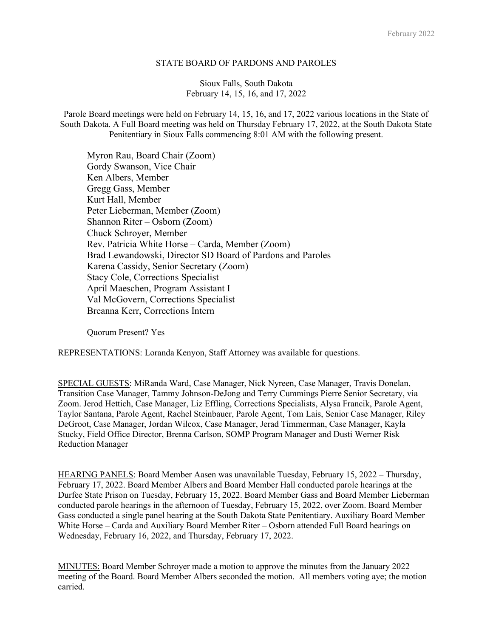#### STATE BOARD OF PARDONS AND PAROLES

### Sioux Falls, South Dakota February 14, 15, 16, and 17, 2022

Parole Board meetings were held on February 14, 15, 16, and 17, 2022 various locations in the State of South Dakota. A Full Board meeting was held on Thursday February 17, 2022, at the South Dakota State Penitentiary in Sioux Falls commencing 8:01 AM with the following present.

Myron Rau, Board Chair (Zoom) Gordy Swanson, Vice Chair Ken Albers, Member Gregg Gass, Member Kurt Hall, Member Peter Lieberman, Member (Zoom) Shannon Riter – Osborn (Zoom) Chuck Schroyer, Member Rev. Patricia White Horse – Carda, Member (Zoom) Brad Lewandowski, Director SD Board of Pardons and Paroles Karena Cassidy, Senior Secretary (Zoom) Stacy Cole, Corrections Specialist April Maeschen, Program Assistant I Val McGovern, Corrections Specialist Breanna Kerr, Corrections Intern

Quorum Present? Yes

REPRESENTATIONS: Loranda Kenyon, Staff Attorney was available for questions.

SPECIAL GUESTS: MiRanda Ward, Case Manager, Nick Nyreen, Case Manager, Travis Donelan, Transition Case Manager, Tammy Johnson-DeJong and Terry Cummings Pierre Senior Secretary, via Zoom. Jerod Hettich, Case Manager, Liz Effling, Corrections Specialists, Alysa Francik, Parole Agent, Taylor Santana, Parole Agent, Rachel Steinbauer, Parole Agent, Tom Lais, Senior Case Manager, Riley DeGroot, Case Manager, Jordan Wilcox, Case Manager, Jerad Timmerman, Case Manager, Kayla Stucky, Field Office Director, Brenna Carlson, SOMP Program Manager and Dusti Werner Risk Reduction Manager

HEARING PANELS: Board Member Aasen was unavailable Tuesday, February 15, 2022 – Thursday, February 17, 2022. Board Member Albers and Board Member Hall conducted parole hearings at the Durfee State Prison on Tuesday, February 15, 2022. Board Member Gass and Board Member Lieberman conducted parole hearings in the afternoon of Tuesday, February 15, 2022, over Zoom. Board Member Gass conducted a single panel hearing at the South Dakota State Penitentiary. Auxiliary Board Member White Horse – Carda and Auxiliary Board Member Riter – Osborn attended Full Board hearings on Wednesday, February 16, 2022, and Thursday, February 17, 2022.

MINUTES: Board Member Schroyer made a motion to approve the minutes from the January 2022 meeting of the Board. Board Member Albers seconded the motion. All members voting aye; the motion carried.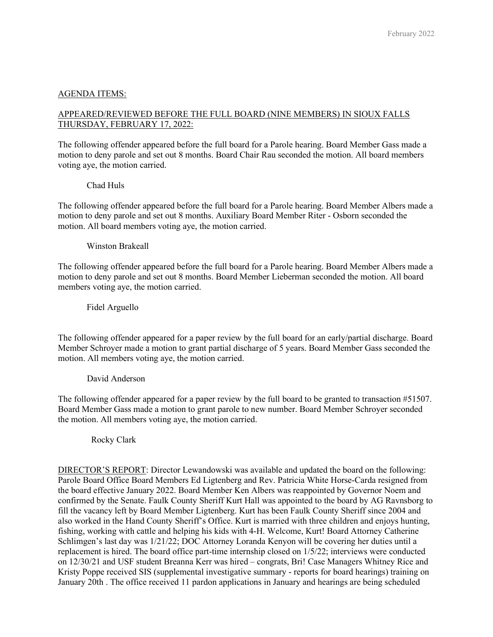## AGENDA ITEMS:

## APPEARED/REVIEWED BEFORE THE FULL BOARD (NINE MEMBERS) IN SIOUX FALLS THURSDAY, FEBRUARY 17, 2022:

The following offender appeared before the full board for a Parole hearing. Board Member Gass made a motion to deny parole and set out 8 months. Board Chair Rau seconded the motion. All board members voting aye, the motion carried.

#### Chad Huls

The following offender appeared before the full board for a Parole hearing. Board Member Albers made a motion to deny parole and set out 8 months. Auxiliary Board Member Riter - Osborn seconded the motion. All board members voting aye, the motion carried.

#### Winston Brakeall

The following offender appeared before the full board for a Parole hearing. Board Member Albers made a motion to deny parole and set out 8 months. Board Member Lieberman seconded the motion. All board members voting aye, the motion carried.

Fidel Arguello

The following offender appeared for a paper review by the full board for an early/partial discharge. Board Member Schroyer made a motion to grant partial discharge of 5 years. Board Member Gass seconded the motion. All members voting aye, the motion carried.

### David Anderson

The following offender appeared for a paper review by the full board to be granted to transaction #51507. Board Member Gass made a motion to grant parole to new number. Board Member Schroyer seconded the motion. All members voting aye, the motion carried.

### Rocky Clark

DIRECTOR'S REPORT: Director Lewandowski was available and updated the board on the following: Parole Board Office Board Members Ed Ligtenberg and Rev. Patricia White Horse-Carda resigned from the board effective January 2022. Board Member Ken Albers was reappointed by Governor Noem and confirmed by the Senate. Faulk County Sheriff Kurt Hall was appointed to the board by AG Ravnsborg to fill the vacancy left by Board Member Ligtenberg. Kurt has been Faulk County Sheriff since 2004 and also worked in the Hand County Sheriff's Office. Kurt is married with three children and enjoys hunting, fishing, working with cattle and helping his kids with 4-H. Welcome, Kurt! Board Attorney Catherine Schlimgen's last day was 1/21/22; DOC Attorney Loranda Kenyon will be covering her duties until a replacement is hired. The board office part-time internship closed on 1/5/22; interviews were conducted on 12/30/21 and USF student Breanna Kerr was hired – congrats, Bri! Case Managers Whitney Rice and Kristy Poppe received SIS (supplemental investigative summary - reports for board hearings) training on January 20th . The office received 11 pardon applications in January and hearings are being scheduled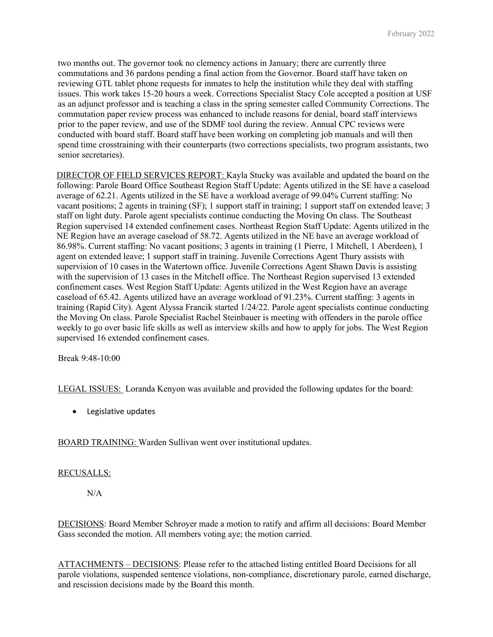two months out. The governor took no clemency actions in January; there are currently three commutations and 36 pardons pending a final action from the Governor. Board staff have taken on reviewing GTL tablet phone requests for inmates to help the institution while they deal with staffing issues. This work takes 15-20 hours a week. Corrections Specialist Stacy Cole accepted a position at USF as an adjunct professor and is teaching a class in the spring semester called Community Corrections. The commutation paper review process was enhanced to include reasons for denial, board staff interviews prior to the paper review, and use of the SDMF tool during the review. Annual CPC reviews were conducted with board staff. Board staff have been working on completing job manuals and will then spend time crosstraining with their counterparts (two corrections specialists, two program assistants, two senior secretaries).

DIRECTOR OF FIELD SERVICES REPORT: Kayla Stucky was available and updated the board on the following: Parole Board Office Southeast Region Staff Update: Agents utilized in the SE have a caseload average of 62.21. Agents utilized in the SE have a workload average of 99.04% Current staffing: No vacant positions; 2 agents in training (SF); 1 support staff in training; 1 support staff on extended leave; 3 staff on light duty. Parole agent specialists continue conducting the Moving On class. The Southeast Region supervised 14 extended confinement cases. Northeast Region Staff Update: Agents utilized in the NE Region have an average caseload of 58.72. Agents utilized in the NE have an average workload of 86.98%. Current staffing: No vacant positions; 3 agents in training (1 Pierre, 1 Mitchell, 1 Aberdeen), 1 agent on extended leave; 1 support staff in training. Juvenile Corrections Agent Thury assists with supervision of 10 cases in the Watertown office. Juvenile Corrections Agent Shawn Davis is assisting with the supervision of 13 cases in the Mitchell office. The Northeast Region supervised 13 extended confinement cases. West Region Staff Update: Agents utilized in the West Region have an average caseload of 65.42. Agents utilized have an average workload of 91.23%. Current staffing: 3 agents in training (Rapid City). Agent Alyssa Francik started 1/24/22. Parole agent specialists continue conducting the Moving On class. Parole Specialist Rachel Steinbauer is meeting with offenders in the parole office weekly to go over basic life skills as well as interview skills and how to apply for jobs. The West Region supervised 16 extended confinement cases.

Break 9:48-10:00

LEGAL ISSUES: Loranda Kenyon was available and provided the following updates for the board:

Legislative updates

BOARD TRAINING: Warden Sullivan went over institutional updates.

# RECUSALLS:

# $N/A$

DECISIONS: Board Member Schroyer made a motion to ratify and affirm all decisions: Board Member Gass seconded the motion. All members voting aye; the motion carried.

ATTACHMENTS – DECISIONS: Please refer to the attached listing entitled Board Decisions for all parole violations, suspended sentence violations, non-compliance, discretionary parole, earned discharge, and rescission decisions made by the Board this month.